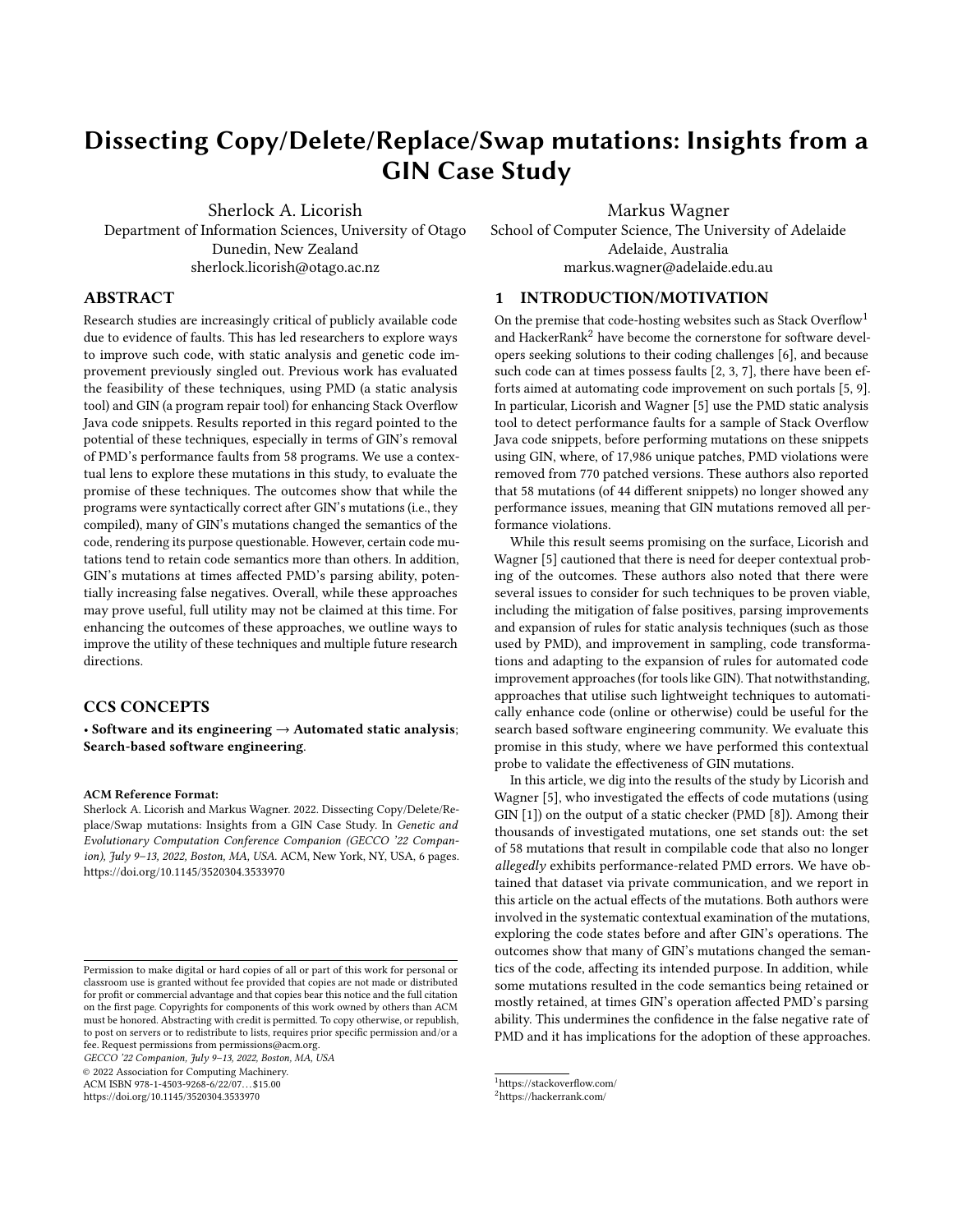# Dissecting Copy/Delete/Replace/Swap mutations: Insights from a GIN Case Study

Sherlock A. Licorish

Department of Information Sciences, University of Otago Dunedin, New Zealand sherlock.licorish@otago.ac.nz

Markus Wagner

School of Computer Science, The University of Adelaide Adelaide, Australia markus.wagner@adelaide.edu.au

## ABSTRACT

Research studies are increasingly critical of publicly available code due to evidence of faults. This has led researchers to explore ways to improve such code, with static analysis and genetic code improvement previously singled out. Previous work has evaluated the feasibility of these techniques, using PMD (a static analysis tool) and GIN (a program repair tool) for enhancing Stack Overflow Java code snippets. Results reported in this regard pointed to the potential of these techniques, especially in terms of GIN's removal of PMD's performance faults from 58 programs. We use a contextual lens to explore these mutations in this study, to evaluate the promise of these techniques. The outcomes show that while the programs were syntactically correct after GIN's mutations (i.e., they compiled), many of GIN's mutations changed the semantics of the code, rendering its purpose questionable. However, certain code mutations tend to retain code semantics more than others. In addition, GIN's mutations at times affected PMD's parsing ability, potentially increasing false negatives. Overall, while these approaches may prove useful, full utility may not be claimed at this time. For enhancing the outcomes of these approaches, we outline ways to improve the utility of these techniques and multiple future research directions.

## CCS CONCEPTS

• Software and its engineering  $\rightarrow$  Automated static analysis; Search-based software engineering.

## ACM Reference Format:

Sherlock A. Licorish and Markus Wagner. 2022. Dissecting Copy/Delete/Replace/Swap mutations: Insights from a GIN Case Study. In Genetic and Evolutionary Computation Conference Companion (GECCO '22 Compan-ion), July 9-13, 2022, Boston, MA, USA. ACM, New York, NY, USA, [6](#page-5-0) pages. <https://doi.org/10.1145/3520304.3533970>

GECCO '22 Companion, July 9–13, 2022, Boston, MA, USA

© 2022 Association for Computing Machinery.

ACM ISBN 978-1-4503-9268-6/22/07. . . \$15.00

<https://doi.org/10.1145/3520304.3533970>

#### 1 INTRODUCTION/MOTIVATION

On the premise that code-hosting websites such as Stack Overflow<sup>[1](#page-0-0)</sup> and HackerRank<sup>[2](#page-0-1)</sup> have become the cornerstone for software developers seeking solutions to their coding challenges [\[6\]](#page-5-1), and because such code can at times possess faults [\[2,](#page-5-2) [3,](#page-5-3) [7\]](#page-5-4), there have been efforts aimed at automating code improvement on such portals [\[5,](#page-5-5) [9\]](#page-5-6). In particular, Licorish and Wagner [\[5\]](#page-5-5) use the PMD static analysis tool to detect performance faults for a sample of Stack Overflow Java code snippets, before performing mutations on these snippets using GIN, where, of 17,986 unique patches, PMD violations were removed from 770 patched versions. These authors also reported that 58 mutations (of 44 different snippets) no longer showed any performance issues, meaning that GIN mutations removed all performance violations.

While this result seems promising on the surface, Licorish and Wagner [\[5\]](#page-5-5) cautioned that there is need for deeper contextual probing of the outcomes. These authors also noted that there were several issues to consider for such techniques to be proven viable, including the mitigation of false positives, parsing improvements and expansion of rules for static analysis techniques (such as those used by PMD), and improvement in sampling, code transformations and adapting to the expansion of rules for automated code improvement approaches (for tools like GIN). That notwithstanding, approaches that utilise such lightweight techniques to automatically enhance code (online or otherwise) could be useful for the search based software engineering community. We evaluate this promise in this study, where we have performed this contextual probe to validate the effectiveness of GIN mutations.

In this article, we dig into the results of the study by Licorish and Wagner [\[5\]](#page-5-5), who investigated the effects of code mutations (using GIN [\[1\]](#page-5-7)) on the output of a static checker (PMD [\[8\]](#page-5-8)). Among their thousands of investigated mutations, one set stands out: the set of 58 mutations that result in compilable code that also no longer allegedly exhibits performance-related PMD errors. We have obtained that dataset via private communication, and we report in this article on the actual effects of the mutations. Both authors were involved in the systematic contextual examination of the mutations, exploring the code states before and after GIN's operations. The outcomes show that many of GIN's mutations changed the semantics of the code, affecting its intended purpose. In addition, while some mutations resulted in the code semantics being retained or mostly retained, at times GIN's operation affected PMD's parsing ability. This undermines the confidence in the false negative rate of PMD and it has implications for the adoption of these approaches.

Permission to make digital or hard copies of all or part of this work for personal or classroom use is granted without fee provided that copies are not made or distributed for profit or commercial advantage and that copies bear this notice and the full citation on the first page. Copyrights for components of this work owned by others than ACM must be honored. Abstracting with credit is permitted. To copy otherwise, or republish, to post on servers or to redistribute to lists, requires prior specific permission and/or a fee. Request permissions from permissions@acm.org.

<span id="page-0-0"></span><sup>1</sup>https://stackoverflow.com/

<span id="page-0-1"></span><sup>2</sup>https://hackerrank.com/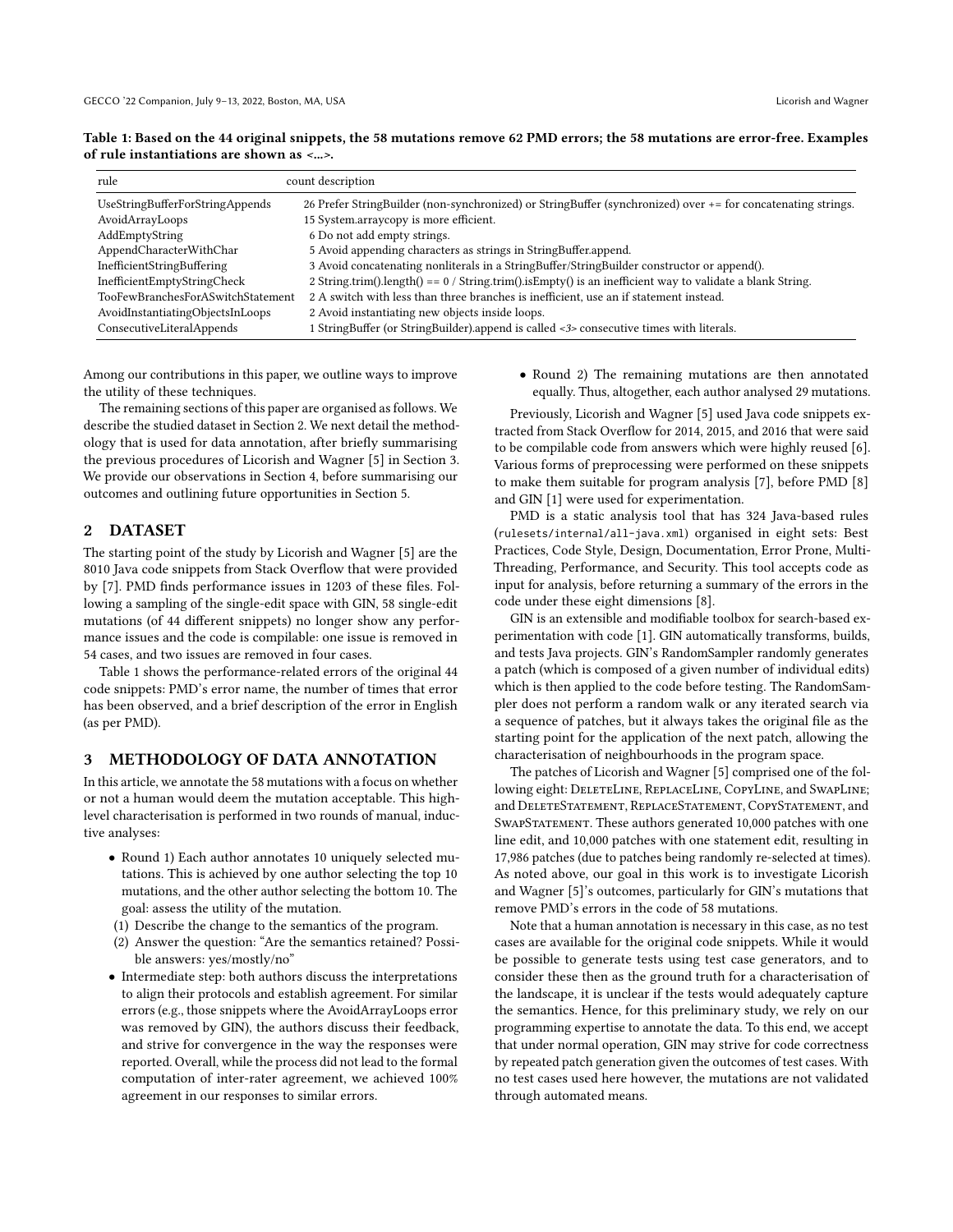| rule                              | count description                                                                                            |
|-----------------------------------|--------------------------------------------------------------------------------------------------------------|
| UseStringBufferForStringAppends   | 26 Prefer StringBuilder (non-synchronized) or StringBuffer (synchronized) over += for concatenating strings. |
| AvoidArrayLoops                   | 15 System.arraycopy is more efficient.                                                                       |
| AddEmptyString                    | 6 Do not add empty strings.                                                                                  |
| AppendCharacterWithChar           | 5 Avoid appending characters as strings in StringBuffer.append.                                              |
| InefficientStringBuffering        | 3 Avoid concatenating nonliterals in a StringBuffer/StringBuilder constructor or append().                   |
| InefficientEmptyStringCheck       | 2 String.trim().length() == $0$ / String.trim().isEmpty() is an inefficient way to validate a blank String.  |
| TooFewBranchesForASwitchStatement | 2 A switch with less than three branches is inefficient, use an if statement instead.                        |
| AvoidInstantiatingObjectsInLoops  | 2 Avoid instantiating new objects inside loops.                                                              |
| ConsecutiveLiteralAppends         | 1 StringBuffer (or StringBuilder).append is called <3> consecutive times with literals.                      |

<span id="page-1-0"></span>Table 1: Based on the 44 original snippets, the 58 mutations remove 62 PMD errors; the 58 mutations are error-free. Examples of rule instantiations are shown as <...>.

Among our contributions in this paper, we outline ways to improve the utility of these techniques.

The remaining sections of this paper are organised as follows. We describe the studied dataset in Section 2. We next detail the methodology that is used for data annotation, after briefly summarising the previous procedures of Licorish and Wagner [\[5\]](#page-5-5) in Section 3. We provide our observations in Section 4, before summarising our outcomes and outlining future opportunities in Section 5.

## 2 DATASET

The starting point of the study by Licorish and Wagner [\[5\]](#page-5-5) are the 8010 Java code snippets from Stack Overflow that were provided by [\[7\]](#page-5-4). PMD finds performance issues in 1203 of these files. Following a sampling of the single-edit space with GIN, 58 single-edit mutations (of 44 different snippets) no longer show any performance issues and the code is compilable: one issue is removed in 54 cases, and two issues are removed in four cases.

Table [1](#page-1-0) shows the performance-related errors of the original 44 code snippets: PMD's error name, the number of times that error has been observed, and a brief description of the error in English (as per PMD).

## 3 METHODOLOGY OF DATA ANNOTATION

In this article, we annotate the 58 mutations with a focus on whether or not a human would deem the mutation acceptable. This highlevel characterisation is performed in two rounds of manual, inductive analyses:

- Round 1) Each author annotates 10 uniquely selected mutations. This is achieved by one author selecting the top 10 mutations, and the other author selecting the bottom 10. The goal: assess the utility of the mutation.
- (1) Describe the change to the semantics of the program.
- (2) Answer the question: "Are the semantics retained? Possible answers: yes/mostly/no"
- Intermediate step: both authors discuss the interpretations to align their protocols and establish agreement. For similar errors (e.g., those snippets where the AvoidArrayLoops error was removed by GIN), the authors discuss their feedback, and strive for convergence in the way the responses were reported. Overall, while the process did not lead to the formal computation of inter-rater agreement, we achieved 100% agreement in our responses to similar errors.

• Round 2) The remaining mutations are then annotated equally. Thus, altogether, each author analysed 29 mutations.

Previously, Licorish and Wagner [\[5\]](#page-5-5) used Java code snippets extracted from Stack Overflow for 2014, 2015, and 2016 that were said to be compilable code from answers which were highly reused [\[6\]](#page-5-1). Various forms of preprocessing were performed on these snippets to make them suitable for program analysis [\[7\]](#page-5-4), before PMD [\[8\]](#page-5-8) and GIN [\[1\]](#page-5-7) were used for experimentation.

PMD is a static analysis tool that has 324 Java-based rules (rulesets/internal/all-java.xml) organised in eight sets: Best Practices, Code Style, Design, Documentation, Error Prone, Multi-Threading, Performance, and Security. This tool accepts code as input for analysis, before returning a summary of the errors in the code under these eight dimensions [\[8\]](#page-5-8).

GIN is an extensible and modifiable toolbox for search-based experimentation with code [\[1\]](#page-5-7). GIN automatically transforms, builds, and tests Java projects. GIN's RandomSampler randomly generates a patch (which is composed of a given number of individual edits) which is then applied to the code before testing. The RandomSampler does not perform a random walk or any iterated search via a sequence of patches, but it always takes the original file as the starting point for the application of the next patch, allowing the characterisation of neighbourhoods in the program space.

The patches of Licorish and Wagner [\[5\]](#page-5-5) comprised one of the following eight: DELETELINE, REPLACELINE, COPYLINE, and SWAPLINE; and DeleteStatement, ReplaceStatement, CopyStatement, and SWAPSTATEMENT. These authors generated 10,000 patches with one line edit, and 10,000 patches with one statement edit, resulting in 17,986 patches (due to patches being randomly re-selected at times). As noted above, our goal in this work is to investigate Licorish and Wagner [\[5\]](#page-5-5)'s outcomes, particularly for GIN's mutations that remove PMD's errors in the code of 58 mutations.

Note that a human annotation is necessary in this case, as no test cases are available for the original code snippets. While it would be possible to generate tests using test case generators, and to consider these then as the ground truth for a characterisation of the landscape, it is unclear if the tests would adequately capture the semantics. Hence, for this preliminary study, we rely on our programming expertise to annotate the data. To this end, we accept that under normal operation, GIN may strive for code correctness by repeated patch generation given the outcomes of test cases. With no test cases used here however, the mutations are not validated through automated means.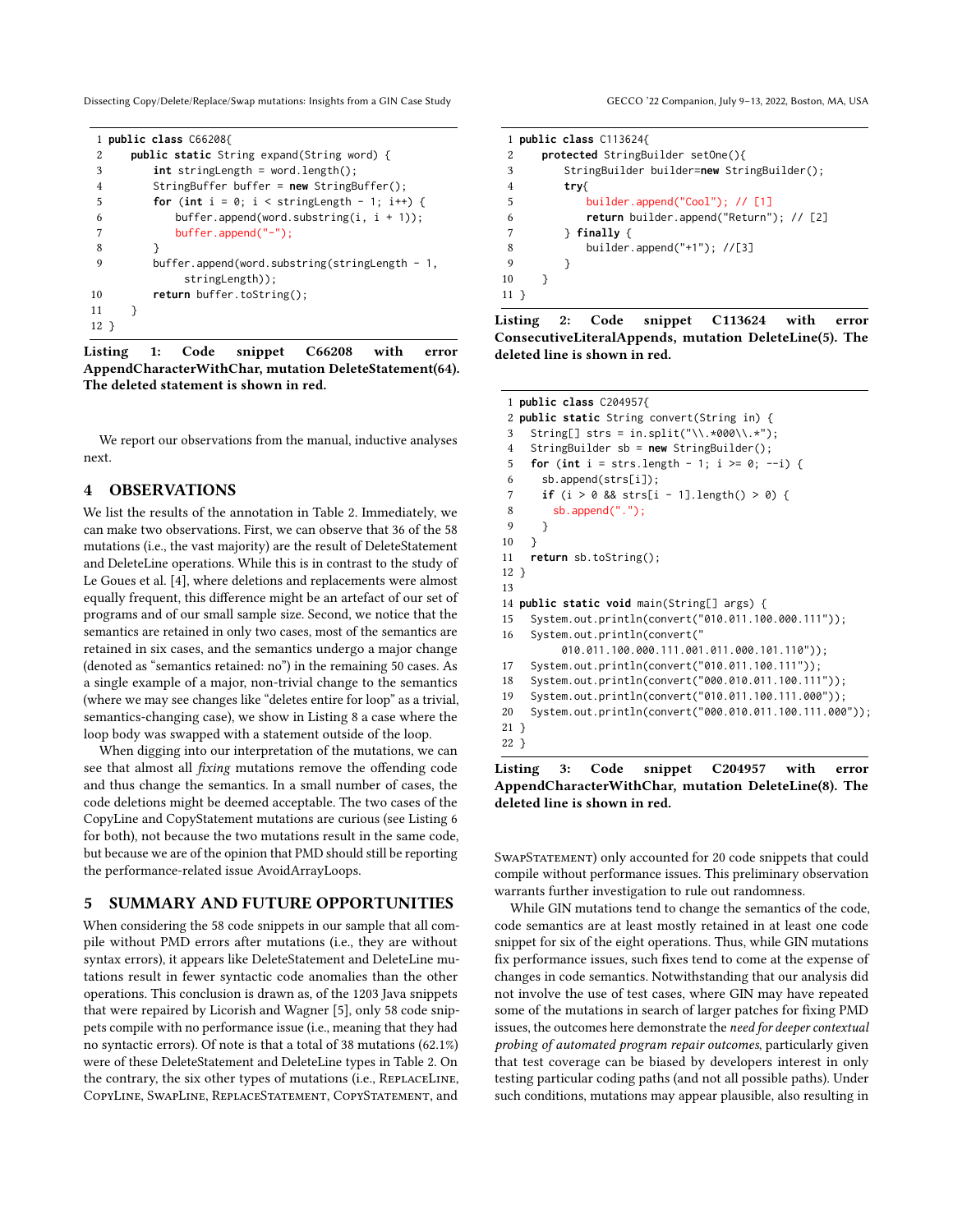Dissecting Copy/Delete/Replace/Swap mutations: Insights from a GIN Case Study GECCO '22 Companion, July 9-13, 2022, Boston, MA, USA

<span id="page-2-0"></span>

| 1              | public class C66208{                              |
|----------------|---------------------------------------------------|
| 2              | <b>public static</b> String expand(String word) { |
| 3              | $int$ stringLength = word.length();               |
| $\overline{4}$ | StringBuffer buffer = $new$ StringBuffer();       |
| 5              | for (int $i = 0$ ; $i <$ stringLength - 1; i++) { |
| 6              | buffer.append(word.substring(i, $i + 1$ ));       |
| 7              | $buffer.append("-")$ ;                            |
| 8              |                                                   |
| 9              | $buffer.append(word.substring(StringLength - 1,$  |
|                | $stringLength)$ ;                                 |
| 10             | <b>return</b> buffer.toString();                  |
| 11             |                                                   |
| 12 }           |                                                   |

Listing 1: Code snippet C66208 with error AppendCharacterWithChar, mutation DeleteStatement(64). The deleted statement is shown in red.

We report our observations from the manual, inductive analyses next.

## 4 OBSERVATIONS

We list the results of the annotation in Table [2.](#page-3-0) Immediately, we can make two observations. First, we can observe that 36 of the 58 mutations (i.e., the vast majority) are the result of DeleteStatement and DeleteLine operations. While this is in contrast to the study of Le Goues et al. [\[4\]](#page-5-9), where deletions and replacements were almost equally frequent, this difference might be an artefact of our set of programs and of our small sample size. Second, we notice that the semantics are retained in only two cases, most of the semantics are retained in six cases, and the semantics undergo a major change (denoted as "semantics retained: no") in the remaining 50 cases. As a single example of a major, non-trivial change to the semantics (where we may see changes like "deletes entire for loop" as a trivial, semantics-changing case), we show in Listing [8](#page-4-0) a case where the loop body was swapped with a statement outside of the loop.

When digging into our interpretation of the mutations, we can see that almost all fixing mutations remove the offending code and thus change the semantics. In a small number of cases, the code deletions might be deemed acceptable. The two cases of the CopyLine and CopyStatement mutations are curious (see Listing [6](#page-4-1) for both), not because the two mutations result in the same code, but because we are of the opinion that PMD should still be reporting the performance-related issue AvoidArrayLoops.

### 5 SUMMARY AND FUTURE OPPORTUNITIES

When considering the 58 code snippets in our sample that all compile without PMD errors after mutations (i.e., they are without syntax errors), it appears like DeleteStatement and DeleteLine mutations result in fewer syntactic code anomalies than the other operations. This conclusion is drawn as, of the 1203 Java snippets that were repaired by Licorish and Wagner [\[5\]](#page-5-5), only 58 code snippets compile with no performance issue (i.e., meaning that they had no syntactic errors). Of note is that a total of 38 mutations (62.1%) were of these DeleteStatement and DeleteLine types in Table [2.](#page-3-0) On the contrary, the six other types of mutations (i.e., ReplaceLine, CopyLine, SwapLine, ReplaceStatement, CopyStatement, and

<span id="page-2-1"></span>1 **public class** C113624{ 2 **protected** StringBuilder setOne(){ 3 StringBuilder builder=**new** StringBuilder(); 4 **try**{ 5 builder.append("Cool"); // [1] 6 **return** builder.append("Return"); // [2] 7 } **finally** { 8 builder.append("+1"); //[3] 9 } 10 } 11 }

Listing 2: Code snippet C113624 with error ConsecutiveLiteralAppends, mutation DeleteLine(5). The deleted line is shown in red.

```
1 public class C204957{
2 public static String convert(String in) {
3 String[] strs = in.split("\\.*000\\.*");
4 StringBuilder sb = new StringBuilder();
5 for (int i = strs.length - 1; i >= 0; --i) {
6 sb.append(strs[i]);
7 if (i > 0 && strs[i - 1].length() > 0) {
8 sb.append(".");
9 }
10 }
11 return sb.toString();
12 }
13
14 public static void main(String[] args) {
15 System.out.println(convert("010.011.100.000.111"));
16 System.out.println(convert("
         010.011.100.000.111.001.011.000.101.110"));
17 System.out.println(convert("010.011.100.111"));
18 System.out.println(convert("000.010.011.100.111"));
19 System.out.println(convert("010.011.100.111.000"));
20 System.out.println(convert("000.010.011.100.111.000"));
21 }
22 }
```
Listing 3: Code snippet C204957 with error AppendCharacterWithChar, mutation DeleteLine(8). The deleted line is shown in red.

SWAPSTATEMENT) only accounted for 20 code snippets that could compile without performance issues. This preliminary observation warrants further investigation to rule out randomness.

While GIN mutations tend to change the semantics of the code, code semantics are at least mostly retained in at least one code snippet for six of the eight operations. Thus, while GIN mutations fix performance issues, such fixes tend to come at the expense of changes in code semantics. Notwithstanding that our analysis did not involve the use of test cases, where GIN may have repeated some of the mutations in search of larger patches for fixing PMD issues, the outcomes here demonstrate the need for deeper contextual probing of automated program repair outcomes, particularly given that test coverage can be biased by developers interest in only testing particular coding paths (and not all possible paths). Under such conditions, mutations may appear plausible, also resulting in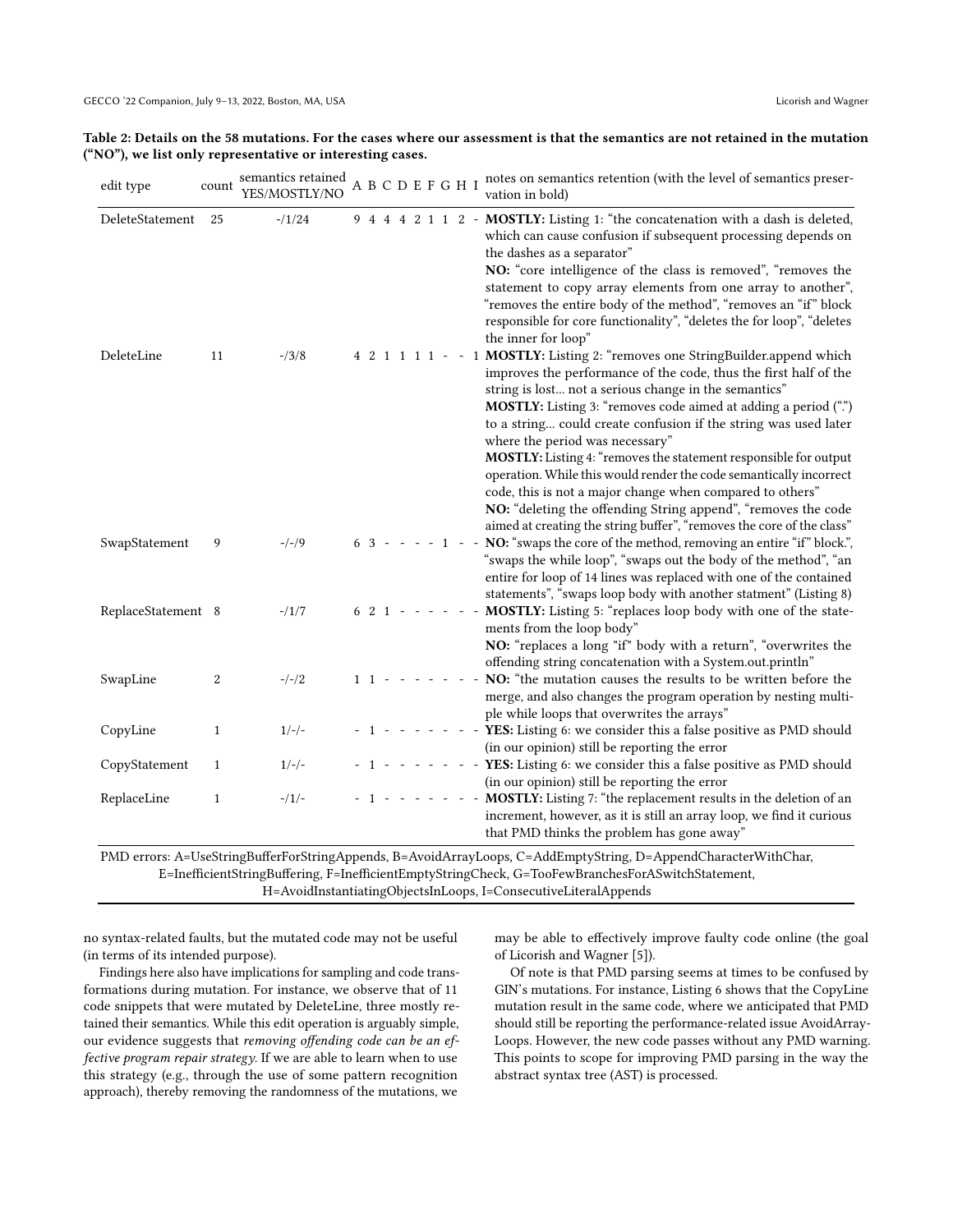<span id="page-3-0"></span>

| Table 2: Details on the 58 mutations. For the cases where our assessment is that the semantics are not retained in the mutation |
|---------------------------------------------------------------------------------------------------------------------------------|
| ("NO"), we list only representative or interesting cases.                                                                       |

| edit type          | count        | semantics retained<br>YES/MOSTLY/NO |  |           |         |  | A B C D E F G H I                   |                          |          | notes on semantics retention (with the level of semantics preser-<br>vation in bold)                                                                                                                                                                                                                                                                                                                                                                                                                                                                                                                                                                                                                              |
|--------------------|--------------|-------------------------------------|--|-----------|---------|--|-------------------------------------|--------------------------|----------|-------------------------------------------------------------------------------------------------------------------------------------------------------------------------------------------------------------------------------------------------------------------------------------------------------------------------------------------------------------------------------------------------------------------------------------------------------------------------------------------------------------------------------------------------------------------------------------------------------------------------------------------------------------------------------------------------------------------|
| DeleteStatement    | 25           | $-1/24$                             |  |           |         |  | $9 \ 4 \ 4 \ 4 \ 2 \ 1 \ 1 \ 2 \ -$ |                          |          | MOSTLY: Listing 1: "the concatenation with a dash is deleted,<br>which can cause confusion if subsequent processing depends on<br>the dashes as a separator"<br>NO: "core intelligence of the class is removed", "removes the<br>statement to copy array elements from one array to another",<br>"removes the entire body of the method", "removes an "if" block<br>responsible for core functionality", "deletes the for loop", "deletes<br>the inner for loop"                                                                                                                                                                                                                                                  |
| DeleteLine         | 11           | $-13/8$                             |  |           |         |  | 4 2 1 1 1 1 -                       |                          | 1        | MOSTLY: Listing 2: "removes one StringBuilder.append which<br>improves the performance of the code, thus the first half of the<br>string is lost not a serious change in the semantics"<br>MOSTLY: Listing 3: "removes code aimed at adding a period (".")<br>to a string could create confusion if the string was used later<br>where the period was necessary"<br>MOSTLY: Listing 4: "removes the statement responsible for output<br>operation. While this would render the code semantically incorrect<br>code, this is not a major change when compared to others"<br>NO: "deleting the offending String append", "removes the code<br>aimed at creating the string buffer", "removes the core of the class" |
| SwapStatement      | 9            | $-/-/9$                             |  |           |         |  | $63 - - - - 1 - -$                  |                          |          | NO: "swaps the core of the method, removing an entire "if" block.",<br>"swaps the while loop", "swaps out the body of the method", "an<br>entire for loop of 14 lines was replaced with one of the contained<br>statements", "swaps loop body with another statment" (Listing 8)                                                                                                                                                                                                                                                                                                                                                                                                                                  |
| ReplaceStatement 8 |              | $-1/7$                              |  |           | $621 -$ |  |                                     |                          |          | MOSTLY: Listing 5: "replaces loop body with one of the state-<br>ments from the loop body"<br>NO: "replaces a long "if" body with a return", "overwrites the<br>offending string concatenation with a System.out.println"                                                                                                                                                                                                                                                                                                                                                                                                                                                                                         |
| SwapLine           | 2            | $-/-/2$                             |  | $1 \t1 -$ |         |  |                                     |                          |          | NO: "the mutation causes the results to be written before the<br>merge, and also changes the program operation by nesting multi-<br>ple while loops that overwrites the arrays"                                                                                                                                                                                                                                                                                                                                                                                                                                                                                                                                   |
| CopyLine           | $\mathbf{1}$ | $1/-/$                              |  |           |         |  |                                     |                          | $\omega$ | YES: Listing 6: we consider this a false positive as PMD should<br>(in our opinion) still be reporting the error                                                                                                                                                                                                                                                                                                                                                                                                                                                                                                                                                                                                  |
| CopyStatement      | $\mathbf{1}$ | $1/-/$                              |  |           |         |  | $\overline{\phantom{a}}$            | $\overline{\phantom{a}}$ |          | - YES: Listing 6: we consider this a false positive as PMD should<br>(in our opinion) still be reporting the error                                                                                                                                                                                                                                                                                                                                                                                                                                                                                                                                                                                                |
| ReplaceLine        | $\mathbf{1}$ | $-1/1$                              |  |           |         |  |                                     | $\overline{\phantom{a}}$ |          | - MOSTLY: Listing 7: "the replacement results in the deletion of an<br>increment, however, as it is still an array loop, we find it curious<br>that PMD thinks the problem has gone away"                                                                                                                                                                                                                                                                                                                                                                                                                                                                                                                         |

H=AvoidInstantiatingObjectsInLoops, I=ConsecutiveLiteralAppends

no syntax-related faults, but the mutated code may not be useful (in terms of its intended purpose).

Findings here also have implications for sampling and code transformations during mutation. For instance, we observe that of 11 code snippets that were mutated by DeleteLine, three mostly retained their semantics. While this edit operation is arguably simple, our evidence suggests that removing offending code can be an effective program repair strategy. If we are able to learn when to use this strategy (e.g., through the use of some pattern recognition approach), thereby removing the randomness of the mutations, we

may be able to effectively improve faulty code online (the goal of Licorish and Wagner [\[5\]](#page-5-5)).

Of note is that PMD parsing seems at times to be confused by GIN's mutations. For instance, Listing [6](#page-4-1) shows that the CopyLine mutation result in the same code, where we anticipated that PMD should still be reporting the performance-related issue AvoidArray-Loops. However, the new code passes without any PMD warning. This points to scope for improving PMD parsing in the way the abstract syntax tree (AST) is processed.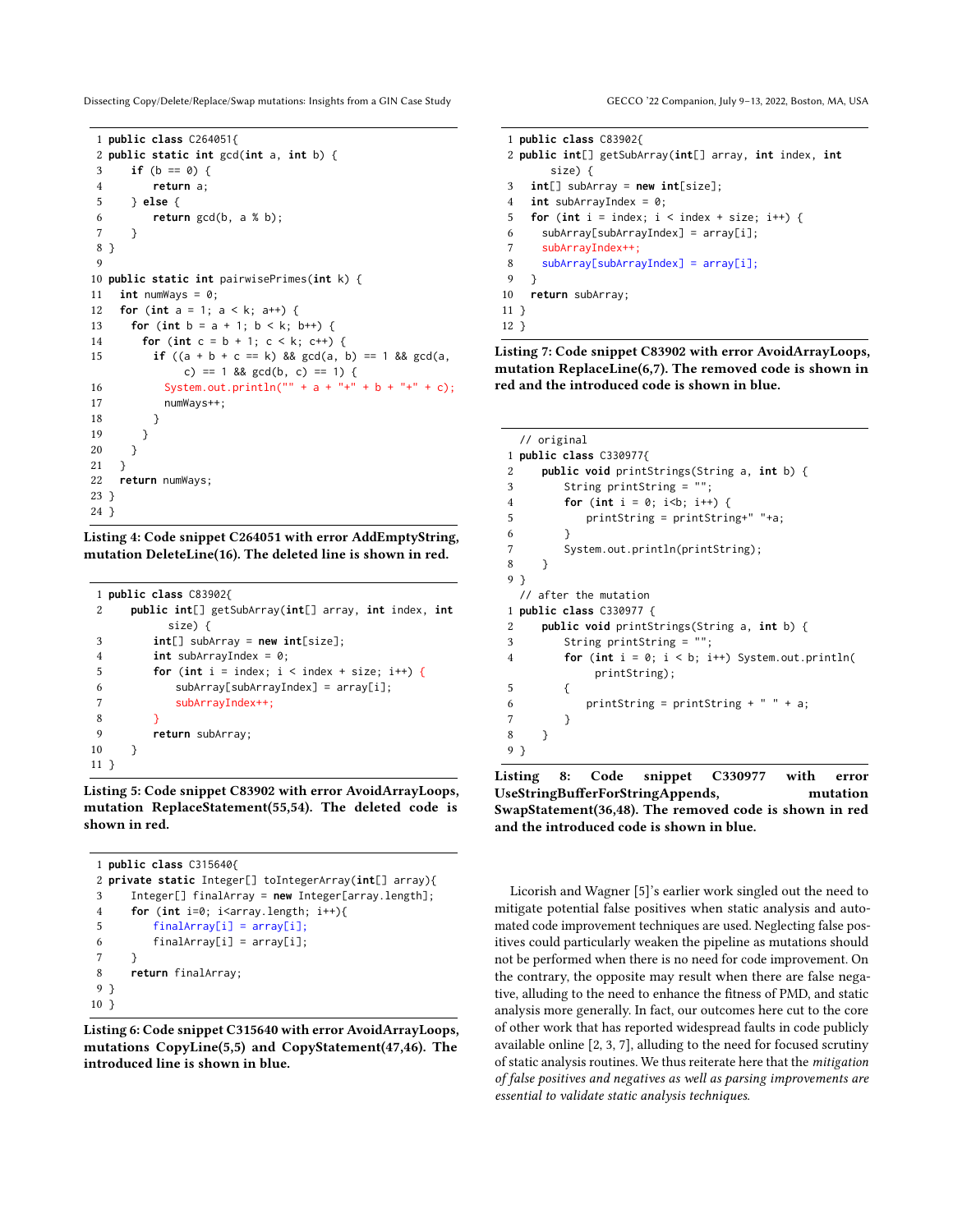Dissecting Copy/Delete/Replace/Swap mutations: Insights from a GIN Case Study GECCO '22 Companion, July 9-13, 2022, Boston, MA, USA

```
1 public class C264051{
2 public static int gcd(int a, int b) {
3 if (b == 0) {
4 return a;
5 } else {
6 return gcd(b, a % b);
7 }
8 }
 9
10 public static int pairwisePrimes(int k) {
11 int numWays = 0;
12 for (int a = 1; a < k; a++) {
13 for (int b = a + 1; b < k; b^{++}) {
14 for (int c = b + 1; c < k; c++) {
15 if ((a + b + c == k) && gcd(a, b) == 1 && gcd(a, b) == 1c) == 1 && gcd(b, c) == 1) {
16 System.out.println("" + a + "+" + b + "+" + c);
17 numWays++;
18 }
19 }
20 }
21 }
22 return numWays;
23 }
24 }
```
Listing 4: Code snippet C264051 with error AddEmptyString, mutation DeleteLine(16). The deleted line is shown in red.

<span id="page-4-3"></span>

|                | 1 public class $C83902f$                             |
|----------------|------------------------------------------------------|
| 2              | public int[] getSubArray(int[] array, int index, int |
|                | size) {                                              |
| 3              | $int[]$ subArray = new $int[size]$ ;                 |
| $\overline{4}$ | $int$ subArrayIndex = 0;                             |
| 5              | for (int i = index; i < index + size; i++) {         |
| 6              | $subArray[subArray[subArrayIndex] = array[i];$       |
| 7              | subArrayIndex++;                                     |
| 8              |                                                      |
| 9              | return subArray;                                     |
| 10             |                                                      |
| 11 }           |                                                      |

Listing 5: Code snippet C83902 with error AvoidArrayLoops, mutation ReplaceStatement(55,54). The deleted code is shown in red.

```
1 public class C315640{
2 private static Integer[] toIntegerArray(int[] array){
3 Integer[] finalArray = new Integer[array.length];
4 for (int i=0; i<array.length; i++){
5 finalArray[i] = array[i];
6 finalArray[i] = array[i];
7 }
8 return finalArray;
9 }
10 }
```
Listing 6: Code snippet C315640 with error AvoidArrayLoops, mutations CopyLine(5,5) and CopyStatement(47,46). The introduced line is shown in blue.

```
1 public class C83902{
2 public int[] getSubArray(int[] array, int index, int
       size) {
3 int[] subArray = new int[size];
4 int subArrayIndex = 0;
5 for (int i = index; i < index + size; i++) {
6 subArray[subArrayIndex] = array[i];
7 subArrayIndex++;
8 subArray[subArrayIndex] = array[i];
9 }
10 return subArray;
11 }
12 }
```
Listing 7: Code snippet C83902 with error AvoidArrayLoops, mutation ReplaceLine(6,7). The removed code is shown in red and the introduced code is shown in blue.

```
// original
1 public class C330977{
2 public void printStrings(String a, int b) {
3 String printString = "";
4 for (int i = 0; i<b; i++) {
5 printString = printString+" "+a;
6 }
7 System.out.println(printString);
8 }
9 }
 // after the mutation
1 public class C330977 {
2 public void printStrings(String a, int b) {
3 String printString = "";
4 for (int i = 0; i < b; i++) System.out.println(
           printString);
5 {
6 printString = printString + " " + a;
7 }
8 }
9 }
```
Listing 8: Code snippet C330977 with error UseStringBufferForStringAppends, mutation SwapStatement(36,48). The removed code is shown in red and the introduced code is shown in blue.

Licorish and Wagner [\[5\]](#page-5-5)'s earlier work singled out the need to mitigate potential false positives when static analysis and automated code improvement techniques are used. Neglecting false positives could particularly weaken the pipeline as mutations should not be performed when there is no need for code improvement. On the contrary, the opposite may result when there are false negative, alluding to the need to enhance the fitness of PMD, and static analysis more generally. In fact, our outcomes here cut to the core of other work that has reported widespread faults in code publicly available online [\[2,](#page-5-2) [3,](#page-5-3) [7\]](#page-5-4), alluding to the need for focused scrutiny of static analysis routines. We thus reiterate here that the mitigation of false positives and negatives as well as parsing improvements are essential to validate static analysis techniques.